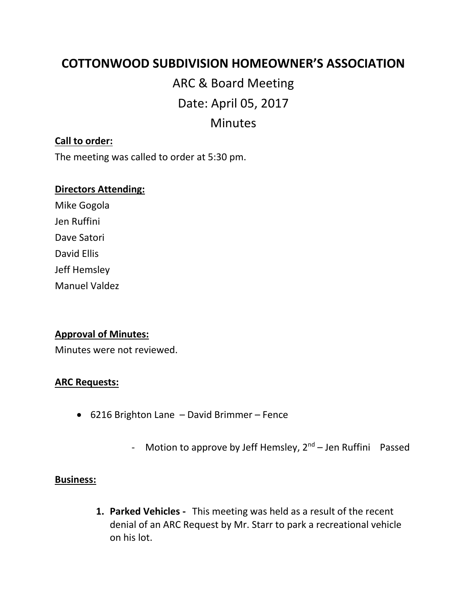## **COTTONWOOD SUBDIVISION HOMEOWNER'S ASSOCIATION**

# ARC & Board Meeting Date: April 05, 2017 Minutes

#### **Call to order:**

The meeting was called to order at 5:30 pm.

#### **Directors Attending:**

Mike Gogola Jen Ruffini Dave Satori David Ellis Jeff Hemsley Manuel Valdez

#### **Approval of Minutes:**

Minutes were not reviewed.

#### **ARC Requests:**

- 6216 Brighton Lane David Brimmer Fence
	- Motion to approve by Jeff Hemsley,  $2^{nd}$  Jen Ruffini Passed

#### **Business:**

**1. Parked Vehicles -** This meeting was held as a result of the recent denial of an ARC Request by Mr. Starr to park a recreational vehicle on his lot.